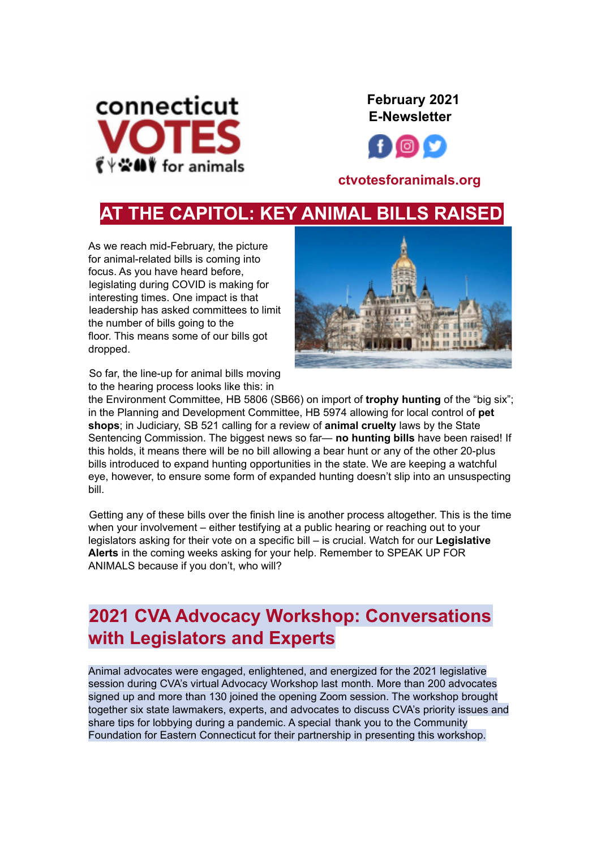

**February 2021 E-Newsletter**



### **ctvotesforanimals.org**

# **AT THE CAPITOL: KEY ANIMAL BILLS RAISED**

As we reach mid-February, the picture for animal-related bills is coming into focus. As you have heard before, legislating during COVID is making for interesting times. One impact is that leadership has asked committees to limit the number of bills going to the floor. This means some of our bills got dropped.



So far, the line-up for animal bills moving to the hearing process looks like this: in

the Environment Committee, HB 5806 (SB66) on import of **trophy hunting** of the "big six"; in the Planning and Development Committee, HB 5974 allowing for local control of **pet shops**; in Judiciary, SB 521 calling for a review of **animal cruelty** laws by the State Sentencing Commission. The biggest news so far— **no hunting bills** have been raised! If this holds, it means there will be no bill allowing a bear hunt or any of the other 20-plus bills introduced to expand hunting opportunities in the state. We are keeping a watchful eye, however, to ensure some form of expanded hunting doesn't slip into an unsuspecting bill.

Getting any of these bills over the finish line is another process altogether. This is the time when your involvement – either testifying at a public hearing or reaching out to your legislators asking for their vote on a specific bill – is crucial. Watch for our **Legislative Alerts** in the coming weeks asking for your help. Remember to SPEAK UP FOR ANIMALS because if you don't, who will?

# **2021 CVA Advocacy Workshop: Conversations with Legislators and Experts**

Animal advocates were engaged, enlightened, and energized for the 2021 legislative session during CVA's virtual Advocacy Workshop last month. More than 200 advocates signed up and more than 130 joined the opening Zoom session. The workshop brought together six state lawmakers, experts, and advocates to discuss CVA's priority issues and share tips for lobbying during a pandemic. A special thank you to the Community Foundation for Eastern Connecticut for their partnership in presenting this workshop.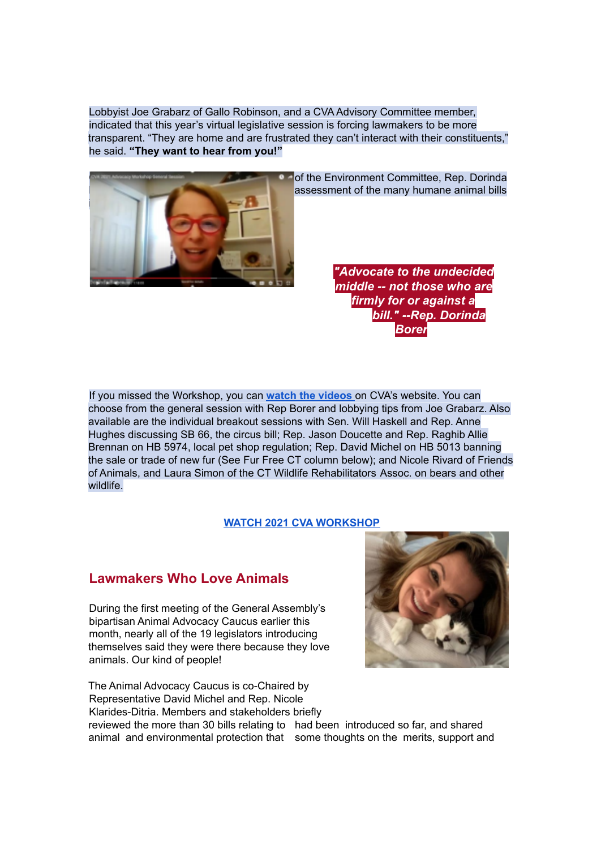Lobbyist Joe Grabarz of Gallo Robinson, and a CVA Advisory Committee member, indicated that this year's virtual legislative session is forcing lawmakers to be more transparent. "They are home and are frustrated they can't interact with their constituents," he said. **"They want to hear from you!"**



of the Environment Committee, Rep. Dorinda assessment of the many humane animal bills

> *"Advocate to the undecided middle -- not those who are firmly for or against a bill." --Rep. Dorinda Borer*

If you missed the Workshop, you can **watch the [videos](https://www.ctvotesforanimals.org/advocacy-workshop-2021)** on CVA's website. You can choose from the general session with Rep Borer and lobbying tips from Joe Grabarz. Also available are the individual breakout sessions with Sen. Will Haskell and Rep. Anne Hughes discussing SB 66, the circus bill; Rep. Jason Doucette and Rep. Raghib Allie Brennan on HB 5974, local pet shop regulation; Rep. David Michel on HB 5013 banning the sale or trade of new fur (See Fur Free CT column below); and Nicole Rivard of Friends of Animals, and Laura Simon of the CT Wildlife Rehabilitators Assoc. on bears and other wildlife.

#### **WATCH 2021 CVA [WORKSHOP](https://www.ctvotesforanimals.org/advocacy-workshop-2021)**

#### **Lawmakers Who Love Animals**

During the first meeting of the General Assembly's bipartisan Animal Advocacy Caucus earlier this month, nearly all of the 19 legislators introducing themselves said they were there because they love animals. Our kind of people!

The Animal Advocacy Caucus is co-Chaired by Representative David Michel and Rep. Nicole Klarides-Ditria. Members and stakeholders briefly



reviewed the more than 30 bills relating to had been introduced so far, and shared animal and environmental protection that some thoughts on the merits, support and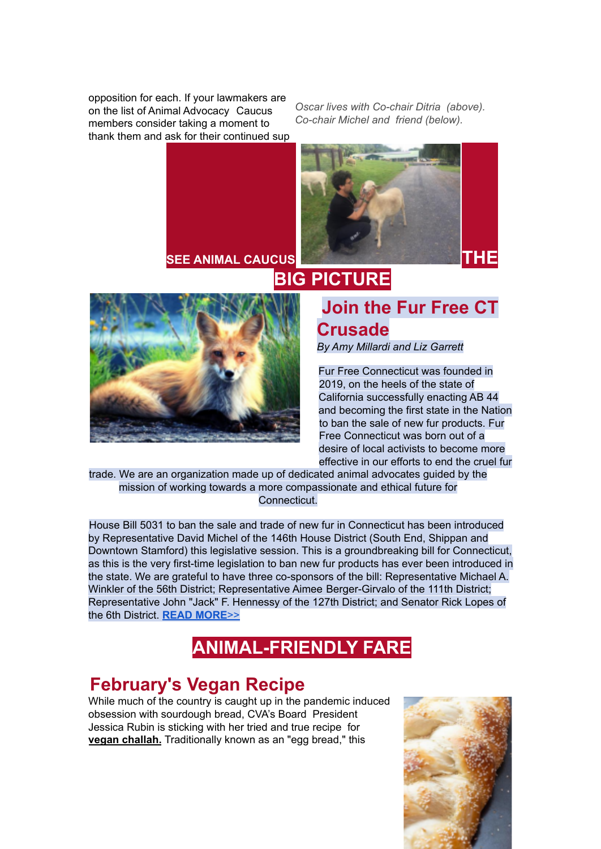opposition for each. If your lawmakers are on the list of Animal Advocacy Caucus members consider taking a moment to thank them and ask for their continued sup

*Oscar lives with Co-chair Ditria (above). Co-chair Michel and friend (below).*



### **Join the Fur Free CT Crusade**

*By Amy Millardi and Liz Garrett*

Fur Free Connecticut was founded in 2019, on the heels of the state of California successfully enacting AB 44 and becoming the first state in the Nation to ban the sale of new fur products. Fur Free Connecticut was born out of a desire of local activists to become more effective in our efforts to end the cruel fur

trade. We are an organization made up of dedicated animal advocates guided by the mission of working towards a more compassionate and ethical future for Connecticut.

House Bill 5031 to ban the sale and trade of new fur in Connecticut has been introduced by Representative David Michel of the 146th House District (South End, Shippan and Downtown Stamford) this legislative session. This is a groundbreaking bill for Connecticut, as this is the very first-time legislation to ban new fur products has ever been introduced in the state. We are grateful to have three co-sponsors of the bill: Representative Michael A. Winkler of the 56th District; Representative Aimee Berger-Girvalo of the 111th District; Representative John "Jack" F. Hennessy of the 127th District; and Senator Rick Lopes of the 6th District. **READ [MORE](https://docs.google.com/document/d/1EcHA_MMwQR0JA55hRKzG22NXOM9ykRNYwqQ3XcotA0c/export?format=pdf)**>>

# **ANIMAL-FRIENDLY FARE**

# **February's Vegan Recipe**

While much of the country is caught up in the pandemic induced obsession with sourdough bread, CVA's Board President Jessica Rubin is sticking with her tried and true recipe for **vegan challah.** Traditionally known as an "egg bread," this